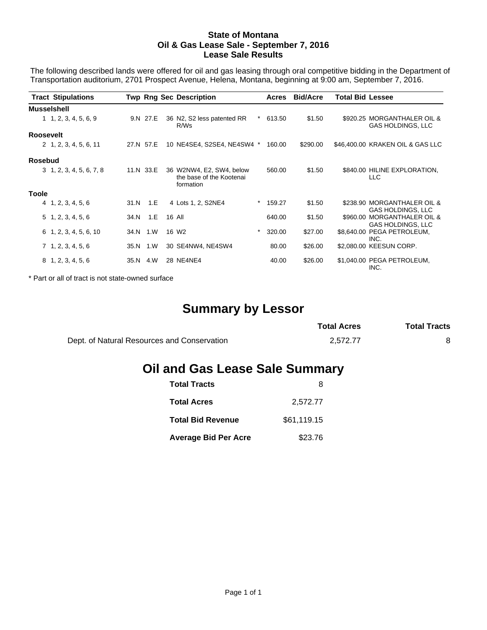#### **State of Montana Oil & Gas Lease Sale - September 7, 2016 Lease Sale Results**

The following described lands were offered for oil and gas leasing through oral competitive bidding in the Department of Transportation auditorium, 2701 Prospect Avenue, Helena, Montana, beginning at 9:00 am, September 7, 2016.

| <b>Tract Stipulations</b>       |      |           | <b>Twp Rng Sec Description</b>                                    |          | Acres  | <b>Bid/Acre</b> | <b>Total Bid Lessee</b> |                                                  |
|---------------------------------|------|-----------|-------------------------------------------------------------------|----------|--------|-----------------|-------------------------|--------------------------------------------------|
| <b>Musselshell</b>              |      |           |                                                                   |          |        |                 |                         |                                                  |
| 1, 2, 3, 4, 5, 6, 9             |      | 9.N 27.E  | 36 N2, S2 less patented RR<br>R/Ws                                |          | 613.50 | \$1.50          |                         | \$920.25 MORGANTHALER OIL &<br>GAS HOLDINGS, LLC |
| <b>Roosevelt</b>                |      |           |                                                                   |          |        |                 |                         |                                                  |
| 2 1, 2, 3, 4, 5, 6, 11          |      | 27.N 57.E | 10 NE4SE4, S2SE4, NE4SW4 *                                        |          | 160.00 | \$290.00        |                         | \$46,400.00 KRAKEN OIL & GAS LLC                 |
| <b>Rosebud</b>                  |      |           |                                                                   |          |        |                 |                         |                                                  |
| $3\quad 1, 2, 3, 4, 5, 6, 7, 8$ |      | 11.N 33.E | 36 W2NW4, E2, SW4, below<br>the base of the Kootenai<br>formation |          | 560.00 | \$1.50          |                         | \$840.00 HILINE EXPLORATION,<br><b>LLC</b>       |
| Toole                           |      |           |                                                                   |          |        |                 |                         |                                                  |
| 4, 1, 2, 3, 4, 5, 6             | 31.N | $-1.E$    | 4 Lots 1, 2, S2NE4                                                | $^\star$ | 159.27 | \$1.50          |                         | \$238.90 MORGANTHALER OIL &<br>GAS HOLDINGS, LLC |
| $5\; 1, 2, 3, 4, 5, 6$          | 34.N | 1.E       | 16 All                                                            |          | 640.00 | \$1.50          |                         | \$960.00 MORGANTHALER OIL &<br>GAS HOLDINGS, LLC |
| $6\quad 1, 2, 3, 4, 5, 6, 10$   | 34.N | 1.W       | 16 W <sub>2</sub>                                                 | *        | 320.00 | \$27.00         |                         | \$8,640.00 PEGA PETROLEUM,<br>INC.               |
| 7, 1, 2, 3, 4, 5, 6             |      | 35.N 1.W  | 30 SE4NW4, NE4SW4                                                 |          | 80.00  | \$26.00         |                         | \$2,080.00 KEESUN CORP.                          |
| 8, 1, 2, 3, 4, 5, 6             |      | 35.N 4.W  | 28 NE4NE4                                                         |          | 40.00  | \$26.00         |                         | \$1,040.00 PEGA PETROLEUM,<br>INC.               |

\* Part or all of tract is not state-owned surface

# **Summary by Lessor**

|                                             | <b>Total Acres</b> | <b>Total Tracts</b> |
|---------------------------------------------|--------------------|---------------------|
| Dept. of Natural Resources and Conservation | 2.572.77           |                     |

# **Oil and Gas Lease Sale Summary**

| <b>Total Tracts</b>         |             |
|-----------------------------|-------------|
| <b>Total Acres</b>          | 2,572.77    |
| <b>Total Bid Revenue</b>    | \$61,119.15 |
| <b>Average Bid Per Acre</b> | \$23.76     |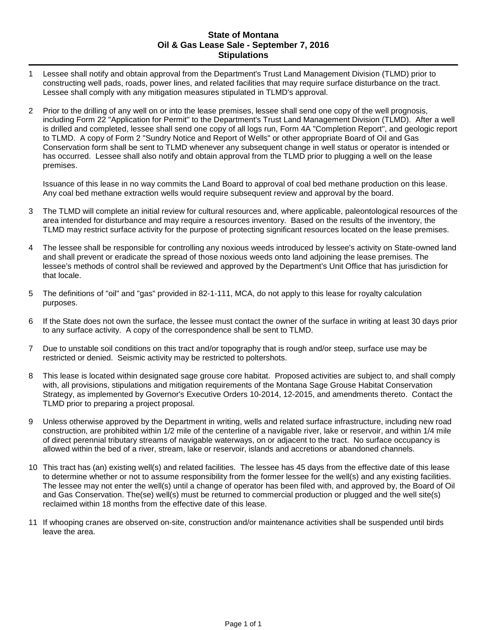### **State of Montana Oil & Gas Lease Sale - September 7, 2016 Stipulations**

- 1 Lessee shall notify and obtain approval from the Department's Trust Land Management Division (TLMD) prior to constructing well pads, roads, power lines, and related facilities that may require surface disturbance on the tract. Lessee shall comply with any mitigation measures stipulated in TLMD's approval.
- 2 Prior to the drilling of any well on or into the lease premises, lessee shall send one copy of the well prognosis, including Form 22 "Application for Permit" to the Department's Trust Land Management Division (TLMD). After a well is drilled and completed, lessee shall send one copy of all logs run, Form 4A "Completion Report", and geologic report to TLMD. A copy of Form 2 "Sundry Notice and Report of Wells" or other appropriate Board of Oil and Gas Conservation form shall be sent to TLMD whenever any subsequent change in well status or operator is intended or has occurred. Lessee shall also notify and obtain approval from the TLMD prior to plugging a well on the lease premises.

Issuance of this lease in no way commits the Land Board to approval of coal bed methane production on this lease. Any coal bed methane extraction wells would require subsequent review and approval by the board.

- 3 The TLMD will complete an initial review for cultural resources and, where applicable, paleontological resources of the area intended for disturbance and may require a resources inventory. Based on the results of the inventory, the TLMD may restrict surface activity for the purpose of protecting significant resources located on the lease premises.
- 4 The lessee shall be responsible for controlling any noxious weeds introduced by lessee's activity on State-owned land and shall prevent or eradicate the spread of those noxious weeds onto land adjoining the lease premises. The lessee's methods of control shall be reviewed and approved by the Department's Unit Office that has jurisdiction for that locale.
- 5 The definitions of "oil" and "gas" provided in 82-1-111, MCA, do not apply to this lease for royalty calculation purposes.
- 6 If the State does not own the surface, the lessee must contact the owner of the surface in writing at least 30 days prior to any surface activity. A copy of the correspondence shall be sent to TLMD.
- 7 Due to unstable soil conditions on this tract and/or topography that is rough and/or steep, surface use may be restricted or denied. Seismic activity may be restricted to poltershots.
- 8 This lease is located within designated sage grouse core habitat. Proposed activities are subject to, and shall comply with, all provisions, stipulations and mitigation requirements of the Montana Sage Grouse Habitat Conservation Strategy, as implemented by Governor's Executive Orders 10-2014, 12-2015, and amendments thereto. Contact the TLMD prior to preparing a project proposal.
- 9 Unless otherwise approved by the Department in writing, wells and related surface infrastructure, including new road construction, are prohibited within 1/2 mile of the centerline of a navigable river, lake or reservoir, and within 1/4 mile of direct perennial tributary streams of navigable waterways, on or adjacent to the tract. No surface occupancy is allowed within the bed of a river, stream, lake or reservoir, islands and accretions or abandoned channels.
- 10 This tract has (an) existing well(s) and related facilities. The lessee has 45 days from the effective date of this lease to determine whether or not to assume responsibility from the former lessee for the well(s) and any existing facilities. The lessee may not enter the well(s) until a change of operator has been filed with, and approved by, the Board of Oil and Gas Conservation. The(se) well(s) must be returned to commercial production or plugged and the well site(s) reclaimed within 18 months from the effective date of this lease.
- 11 If whooping cranes are observed on-site, construction and/or maintenance activities shall be suspended until birds leave the area.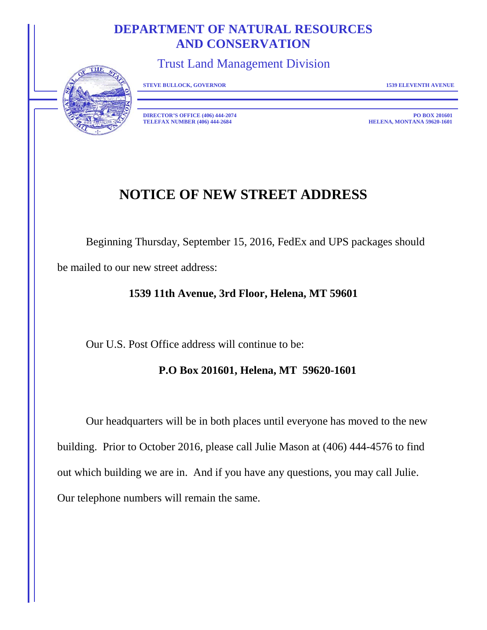# **DEPARTMENT OF NATURAL RESOURCES AND CONSERVATION**

Trust Land Management Division



**STEVE BULLOCK, GOVERNOR 1539 ELEVENTH AVENUE**

**DIRECTOR'S OFFICE (406) 444-2074 PO BOX 201601**<br>**PO BOX 201601**<br>**BELENA, MONTANA 59620-1601 TELEFAX NUMBER (406) 444-2684** 

# **NOTICE OF NEW STREET ADDRESS**

Beginning Thursday, September 15, 2016, FedEx and UPS packages should be mailed to our new street address:

## **1539 11th Avenue, 3rd Floor, Helena, MT 59601**

Our U.S. Post Office address will continue to be:

## **P.O Box 201601, Helena, MT 59620-1601**

Our headquarters will be in both places until everyone has moved to the new building. Prior to October 2016, please call Julie Mason at (406) 444-4576 to find out which building we are in. And if you have any questions, you may call Julie. Our telephone numbers will remain the same.